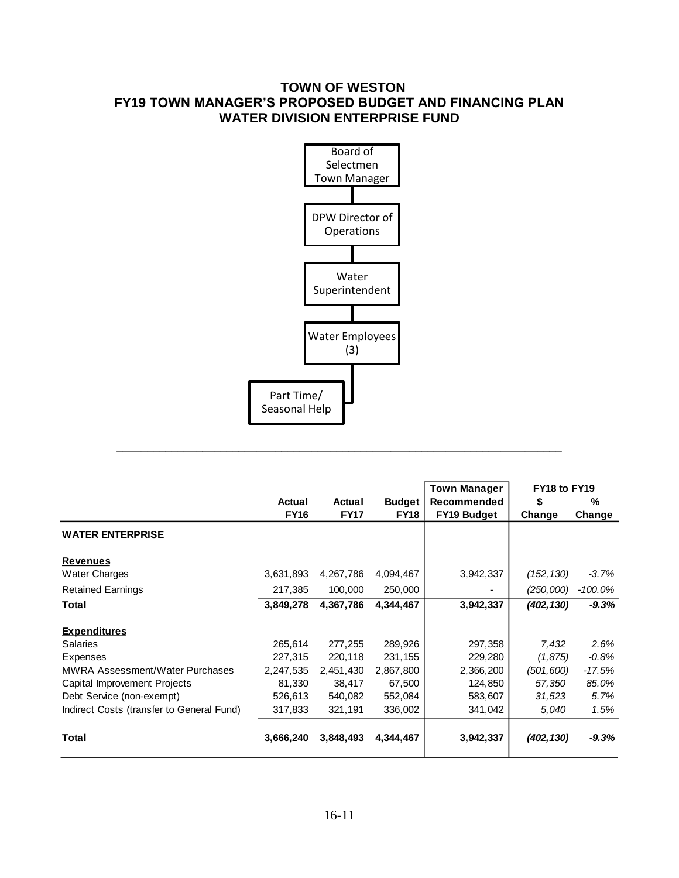# **TOWN OF WESTON FY19 TOWN MANAGER'S PROPOSED BUDGET AND FINANCING PLAN WATER DIVISION ENTERPRISE FUND**



|                                           |                       |                       |                              | <b>Town Manager</b>               | FY18 to FY19 |             |  |
|-------------------------------------------|-----------------------|-----------------------|------------------------------|-----------------------------------|--------------|-------------|--|
|                                           | Actual<br><b>FY16</b> | Actual<br><b>FY17</b> | <b>Budget</b><br><b>FY18</b> | Recommended<br><b>FY19 Budget</b> | S<br>Change  | %<br>Change |  |
| <b>WATER ENTERPRISE</b>                   |                       |                       |                              |                                   |              |             |  |
| <b>Revenues</b>                           |                       |                       |                              |                                   |              |             |  |
| <b>Water Charges</b>                      | 3,631,893             | 4,267,786             | 4,094,467                    | 3,942,337                         | (152, 130)   | $-3.7\%$    |  |
| <b>Retained Earnings</b>                  | 217,385               | 100,000               | 250,000                      |                                   | (250,000)    | $-100.0\%$  |  |
| Total                                     | 3,849,278             | 4,367,786             | 4,344,467                    | 3,942,337                         | (402, 130)   | $-9.3%$     |  |
| <b>Expenditures</b>                       |                       |                       |                              |                                   |              |             |  |
| <b>Salaries</b>                           | 265,614               | 277,255               | 289,926                      | 297,358                           | 7,432        | 2.6%        |  |
| Expenses                                  | 227,315               | 220.118               | 231,155                      | 229,280                           | (1, 875)     | $-0.8%$     |  |
| <b>MWRA Assessment/Water Purchases</b>    | 2,247,535             | 2,451,430             | 2,867,800                    | 2,366,200                         | (501, 600)   | $-17.5%$    |  |
| Capital Improvement Projects              | 81,330                | 38,417                | 67,500                       | 124,850                           | 57,350       | 85.0%       |  |
| Debt Service (non-exempt)                 | 526,613               | 540,082               | 552,084                      | 583,607                           | 31,523       | 5.7%        |  |
| Indirect Costs (transfer to General Fund) | 317,833               | 321,191               | 336,002                      | 341,042                           | 5,040        | 1.5%        |  |
| Total                                     | 3,666,240             | 3,848,493             | 4,344,467                    | 3,942,337                         | (402, 130)   | $-9.3%$     |  |

**\_\_\_\_\_\_\_\_\_\_\_\_\_\_\_\_\_\_\_\_\_\_\_\_\_\_\_\_\_\_\_\_\_\_\_\_\_\_\_\_\_\_\_\_\_\_\_\_\_\_\_\_\_\_\_\_\_\_\_\_\_\_\_\_\_\_\_\_\_\_\_\_\_**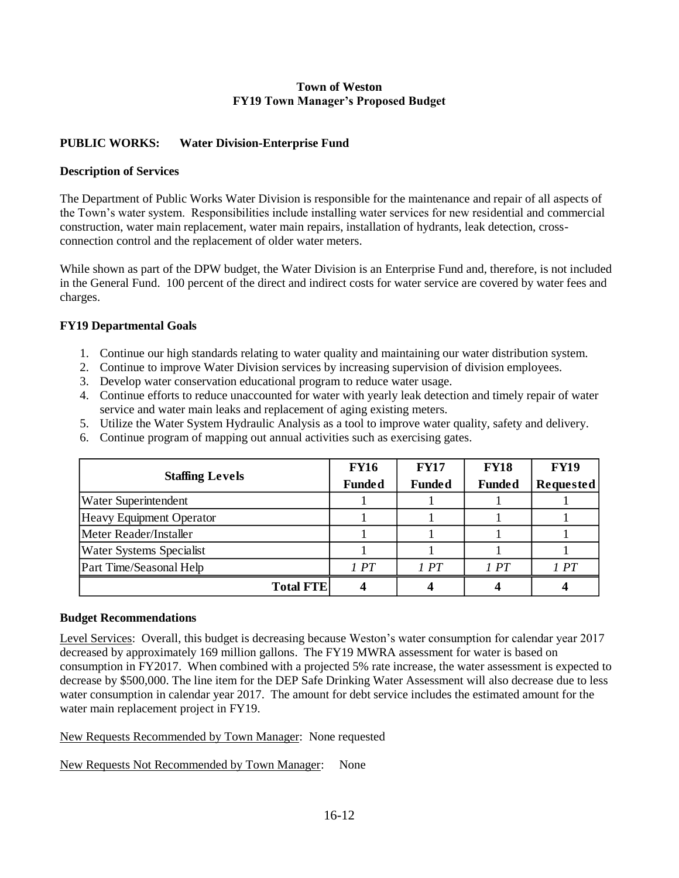#### **Town of Weston FY19 Town Manager's Proposed Budget**

## **PUBLIC WORKS: Water Division-Enterprise Fund**

## **Description of Services**

The Department of Public Works Water Division is responsible for the maintenance and repair of all aspects of the Town's water system. Responsibilities include installing water services for new residential and commercial construction, water main replacement, water main repairs, installation of hydrants, leak detection, crossconnection control and the replacement of older water meters.

While shown as part of the DPW budget, the Water Division is an Enterprise Fund and, therefore, is not included in the General Fund. 100 percent of the direct and indirect costs for water service are covered by water fees and charges.

## **FY19 Departmental Goals**

- 1. Continue our high standards relating to water quality and maintaining our water distribution system.
- 2. Continue to improve Water Division services by increasing supervision of division employees.
- 3. Develop water conservation educational program to reduce water usage.
- 4. Continue efforts to reduce unaccounted for water with yearly leak detection and timely repair of water service and water main leaks and replacement of aging existing meters.
- 5. Utilize the Water System Hydraulic Analysis as a tool to improve water quality, safety and delivery.
- 6. Continue program of mapping out annual activities such as exercising gates.

|                                 | <b>FY16</b>   | <b>FY17</b>   | <b>FY18</b>   | <b>FY19</b>      |
|---------------------------------|---------------|---------------|---------------|------------------|
| <b>Staffing Levels</b>          | <b>Funded</b> | <b>Funded</b> | <b>Funded</b> | <b>Requested</b> |
| <b>Water Superintendent</b>     |               |               |               |                  |
| <b>Heavy Equipment Operator</b> |               |               |               |                  |
| Meter Reader/Installer          |               |               |               |                  |
| <b>Water Systems Specialist</b> |               |               |               |                  |
| Part Time/Seasonal Help         | 1PT           | 1PT           | 1PT           | 1PT              |
| <b>Total FTE</b>                |               |               |               |                  |

#### **Budget Recommendations**

Level Services: Overall, this budget is decreasing because Weston's water consumption for calendar year 2017 decreased by approximately 169 million gallons. The FY19 MWRA assessment for water is based on consumption in FY2017. When combined with a projected 5% rate increase, the water assessment is expected to decrease by \$500,000. The line item for the DEP Safe Drinking Water Assessment will also decrease due to less water consumption in calendar year 2017. The amount for debt service includes the estimated amount for the water main replacement project in FY19.

New Requests Recommended by Town Manager: None requested

New Requests Not Recommended by Town Manager: None